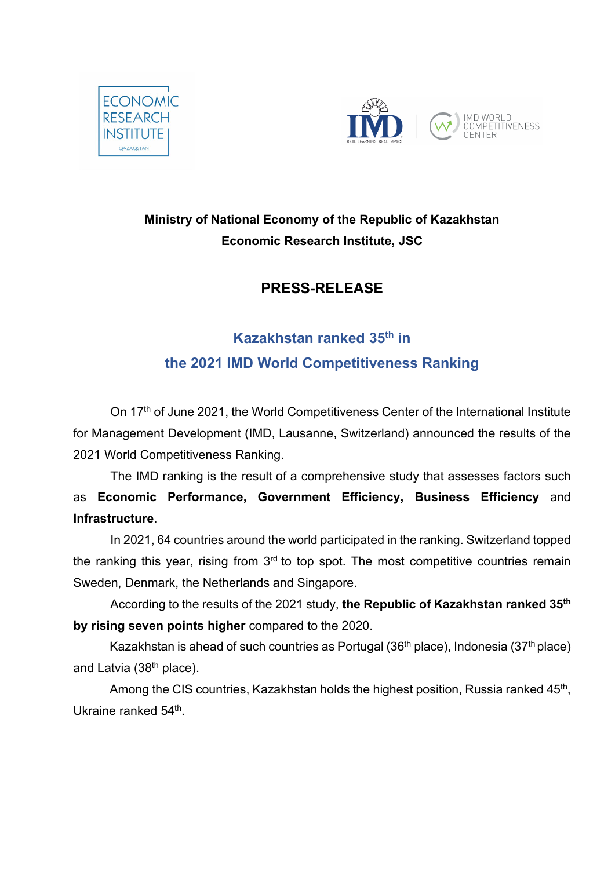



## **Ministry of National Economy of the Republic of Kazakhstan Economic Research Institute, JSC**

## **PRESS-RELEASE**

## **Kazakhstan ranked 35th in the 2021 IMD World Competitiveness Ranking**

On 17<sup>th</sup> of June 2021, the World Competitiveness Center of the International Institute for Management Development (IMD, Lausanne, Switzerland) announced the results of the 2021 World Competitiveness Ranking.

The IMD ranking is the result of a comprehensive study that assesses factors such as **Economic Performance, Government Efficiency, Business Efficiency** and **Infrastructure**.

In 2021, 64 countries around the world participated in the ranking. Switzerland topped the ranking this year, rising from  $3<sup>rd</sup>$  to top spot. The most competitive countries remain Sweden, Denmark, the Netherlands and Singapore.

According to the results of the 2021 study, **the Republic of Kazakhstan ranked 35th by rising seven points higher** compared to the 2020.

Kazakhstan is ahead of such countries as Portugal (36<sup>th</sup> place), Indonesia (37<sup>th</sup> place) and Latvia (38<sup>th</sup> place).

Among the CIS countries, Kazakhstan holds the highest position, Russia ranked 45<sup>th</sup>, Ukraine ranked 54<sup>th</sup>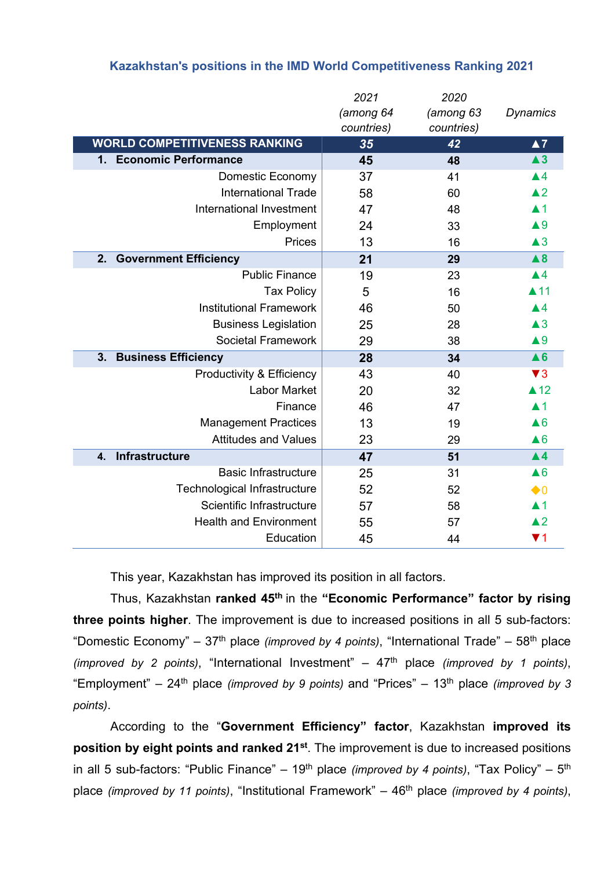| Kazakhstan's positions in the IMD World Competitiveness Ranking 2021 |  |  |  |
|----------------------------------------------------------------------|--|--|--|
|----------------------------------------------------------------------|--|--|--|

|                                         | 2021<br>(among 64<br>countries) | 2020<br>(among 63<br>countries) | <b>Dynamics</b>               |
|-----------------------------------------|---------------------------------|---------------------------------|-------------------------------|
| <b>WORLD COMPETITIVENESS RANKING</b>    | 35                              | 42                              | $\blacktriangle 7$            |
| 1. Economic Performance                 | 45                              | 48                              | $\blacktriangle$ <sub>3</sub> |
| Domestic Economy                        | 37                              | 41                              | $\blacktriangle 4$            |
| <b>International Trade</b>              | 58                              | 60                              | $\blacktriangle$ 2            |
| International Investment                | 47                              | 48                              | $\blacktriangle$ 1            |
| Employment                              | 24                              | 33                              | $\blacktriangle 9$            |
| Prices                                  | 13                              | 16                              | $\triangle 3$                 |
| 2.<br><b>Government Efficiency</b>      | 21                              | 29                              | $\blacktriangle 8$            |
| <b>Public Finance</b>                   | 19                              | 23                              | $\blacktriangle 4$            |
| <b>Tax Policy</b>                       | 5                               | 16                              | $\blacktriangle$ 11           |
| <b>Institutional Framework</b>          | 46                              | 50                              | $\blacktriangle$ 4            |
| <b>Business Legislation</b>             | 25                              | 28                              | $\triangle 3$                 |
| <b>Societal Framework</b>               | 29                              | 38                              | $\triangle 9$                 |
| 3.<br><b>Business Efficiency</b>        | 28                              | 34                              | $\triangle 6$                 |
| Productivity & Efficiency               | 43                              | 40                              | $\blacktriangledown$ 3        |
| <b>Labor Market</b>                     | 20                              | 32                              | $\triangle$ 12                |
| Finance                                 | 46                              | 47                              | $\blacktriangle$ 1            |
| <b>Management Practices</b>             | 13                              | 19                              | $\triangle 6$                 |
| <b>Attitudes and Values</b>             | 23                              | 29                              | $\triangle 6$                 |
| <b>Infrastructure</b><br>$\mathbf{4}$ . | 47                              | 51                              | $\blacktriangle$ 4            |
| <b>Basic Infrastructure</b>             | 25                              | 31                              | $\triangle 6$                 |
| Technological Infrastructure            | 52                              | 52                              | $\bullet$ 0                   |
| Scientific Infrastructure               | 57                              | 58                              | $\blacktriangle$ 1            |
| <b>Health and Environment</b>           | 55                              | 57                              | $\blacktriangle$ 2            |
| Education                               | 45                              | 44                              | $\blacktriangledown$ 1        |

This year, Kazakhstan has improved its position in all factors.

Thus, Kazakhstan **ranked 45th** in the **"Economic Performance" factor by rising three points higher**. The improvement is due to increased positions in all 5 sub-factors: "Domestic Economy" – 37th place *(improved by 4 points)*, "International Trade" – 58th place *(improved by 2 points)*, "International Investment" – 47th place *(improved by 1 points)*, "Employment" – 24th place *(improved by 9 points)* and "Prices" – 13th place *(improved by 3 points)*.

According to the "**Government Efficiency" factor**, Kazakhstan **improved its position by eight points and ranked 21st**. The improvement is due to increased positions in all 5 sub-factors: "Public Finance" – 19<sup>th</sup> place *(improved by 4 points)*, "Tax Policy" – 5<sup>th</sup> place *(improved by 11 points)*, "Institutional Framework" – 46th place *(improved by 4 points)*,